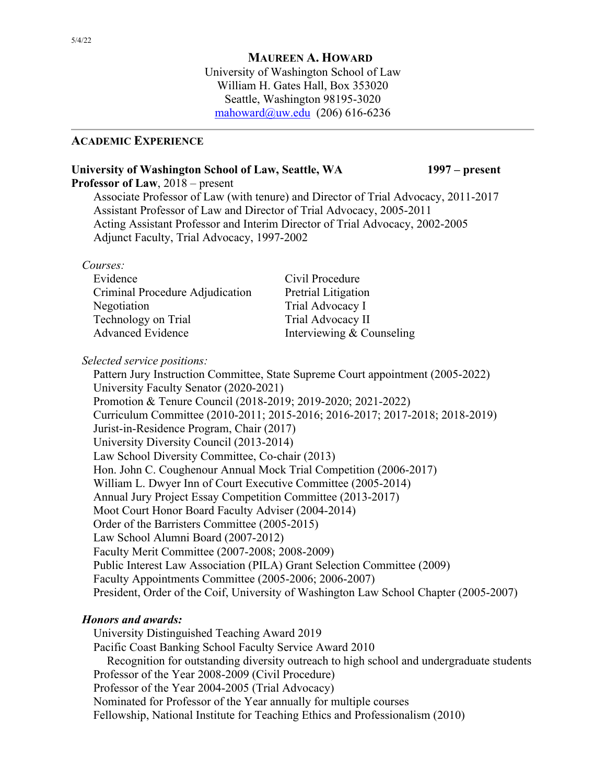## **MAUREEN A. HOWARD**

University of Washington School of Law William H. Gates Hall, Box 353020 Seattle, Washington 98195-3020 [mahoward@uw.edu](mailto:mahoward@uw.edu) (206) 616-6236

#### **ACADEMIC EXPERIENCE**

## **University of Washington School of Law, Seattle, WA 1997 – present**

**Professor of Law**, 2018 – present

Associate Professor of Law (with tenure) and Director of Trial Advocacy, 2011-2017 Assistant Professor of Law and Director of Trial Advocacy, 2005-2011 Acting Assistant Professor and Interim Director of Trial Advocacy, 2002-2005 Adjunct Faculty, Trial Advocacy, 1997-2002

#### *Courses:*

| Interviewing & Counseling |
|---------------------------|
|                           |

*Selected service positions:*

Pattern Jury Instruction Committee, State Supreme Court appointment (2005-2022) University Faculty Senator (2020-2021) Promotion & Tenure Council (2018-2019; 2019-2020; 2021-2022) Curriculum Committee (2010-2011; 2015-2016; 2016-2017; 2017-2018; 2018-2019) Jurist-in-Residence Program, Chair (2017) University Diversity Council (2013-2014) Law School Diversity Committee, Co-chair (2013) Hon. John C. Coughenour Annual Mock Trial Competition (2006-2017) William L. Dwyer Inn of Court Executive Committee (2005-2014) Annual Jury Project Essay Competition Committee (2013-2017) Moot Court Honor Board Faculty Adviser (2004-2014) Order of the Barristers Committee (2005-2015) Law School Alumni Board (2007-2012) Faculty Merit Committee (2007-2008; 2008-2009) Public Interest Law Association (PILA) Grant Selection Committee (2009) Faculty Appointments Committee (2005-2006; 2006-2007) President, Order of the Coif, University of Washington Law School Chapter (2005-2007)

# *Honors and awards:*

University Distinguished Teaching Award 2019 Pacific Coast Banking School Faculty Service Award 2010 Recognition for outstanding diversity outreach to high school and undergraduate students Professor of the Year 2008-2009 (Civil Procedure) Professor of the Year 2004-2005 (Trial Advocacy) Nominated for Professor of the Year annually for multiple courses Fellowship, National Institute for Teaching Ethics and Professionalism (2010)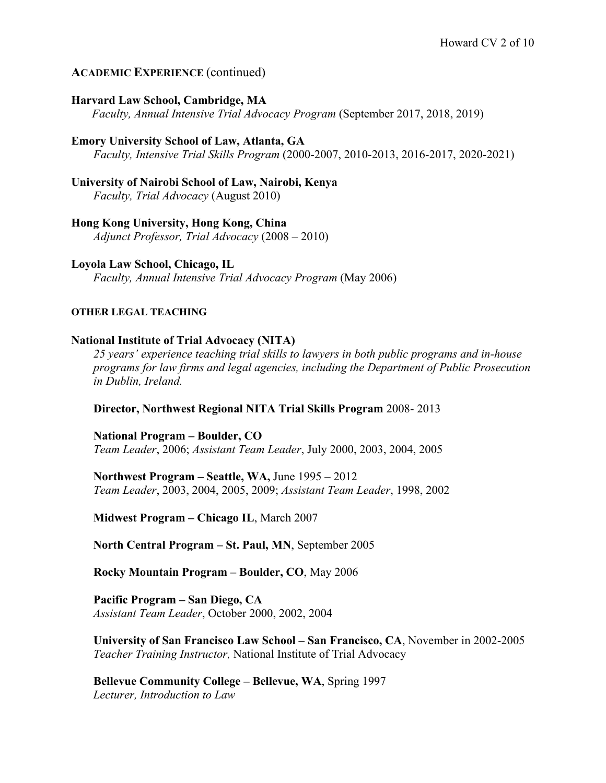# **ACADEMIC EXPERIENCE** (continued)

## **Harvard Law School, Cambridge, MA**

 *Faculty, Annual Intensive Trial Advocacy Program* (September 2017, 2018, 2019)

# **Emory University School of Law, Atlanta, GA**

*Faculty, Intensive Trial Skills Program* (2000-2007, 2010-2013, 2016-2017, 2020-2021)

# **University of Nairobi School of Law, Nairobi, Kenya**

*Faculty, Trial Advocacy* (August 2010)

## **Hong Kong University, Hong Kong, China**

*Adjunct Professor, Trial Advocacy* (2008 – 2010)

## **Loyola Law School, Chicago, IL**

*Faculty, Annual Intensive Trial Advocacy Program* (May 2006)

## **OTHER LEGAL TEACHING**

## **National Institute of Trial Advocacy (NITA)**

*25 years' experience teaching trial skills to lawyers in both public programs and in-house programs for law firms and legal agencies, including the Department of Public Prosecution in Dublin, Ireland.*

## **Director, Northwest Regional NITA Trial Skills Program** 2008- 2013

**National Program – Boulder, CO** *Team Leader*, 2006; *Assistant Team Leader*, July 2000, 2003, 2004, 2005

**Northwest Program – Seattle, WA,** June 1995 – 2012 *Team Leader*, 2003, 2004, 2005, 2009; *Assistant Team Leader*, 1998, 2002

**Midwest Program – Chicago IL**, March 2007

**North Central Program – St. Paul, MN**, September 2005

**Rocky Mountain Program – Boulder, CO**, May 2006

**Pacific Program – San Diego, CA** *Assistant Team Leader*, October 2000, 2002, 2004

**University of San Francisco Law School – San Francisco, CA**, November in 2002-2005 *Teacher Training Instructor,* National Institute of Trial Advocacy

**Bellevue Community College – Bellevue, WA**, Spring 1997 *Lecturer, Introduction to Law*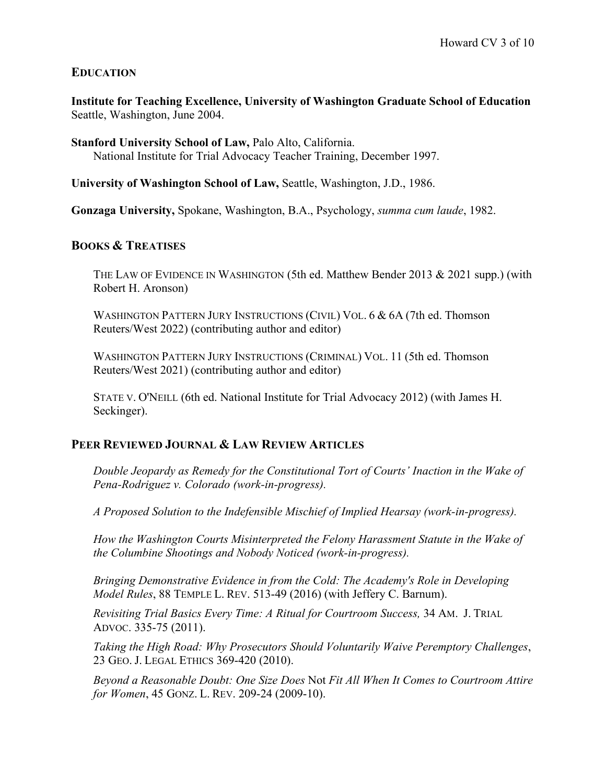# **EDUCATION**

**Institute for Teaching Excellence, University of Washington Graduate School of Education** Seattle, Washington, June 2004.

**Stanford University School of Law,** Palo Alto, California. National Institute for Trial Advocacy Teacher Training, December 1997.

**University of Washington School of Law,** Seattle, Washington, J.D., 1986.

**Gonzaga University,** Spokane, Washington, B.A., Psychology, *summa cum laude*, 1982.

## **BOOKS & TREATISES**

THE LAW OF EVIDENCE IN WASHINGTON (5th ed. Matthew Bender 2013 & 2021 supp.) (with Robert H. Aronson)

WASHINGTON PATTERN JURY INSTRUCTIONS (CIVIL) VOL. 6 & 6A (7th ed. Thomson Reuters/West 2022) (contributing author and editor)

WASHINGTON PATTERN JURY INSTRUCTIONS (CRIMINAL) VOL. 11 (5th ed. Thomson Reuters/West 2021) (contributing author and editor)

STATE V. O'NEILL (6th ed. National Institute for Trial Advocacy 2012) (with James H. Seckinger).

## **PEER REVIEWED JOURNAL & LAW REVIEW ARTICLES**

*Double Jeopardy as Remedy for the Constitutional Tort of Courts' Inaction in the Wake of Pena-Rodriguez v. Colorado (work-in-progress).*

*A Proposed Solution to the Indefensible Mischief of Implied Hearsay (work-in-progress).*

*How the Washington Courts Misinterpreted the Felony Harassment Statute in the Wake of the Columbine Shootings and Nobody Noticed (work-in-progress).*

*Bringing Demonstrative Evidence in from the Cold: The Academy's Role in Developing Model Rules*, 88 TEMPLE L. REV. 513-49 (2016) (with Jeffery C. Barnum).

*Revisiting Trial Basics Every Time: A Ritual for Courtroom Success,* 34 AM. J. TRIAL ADVOC. 335-75 (2011).

*Taking the High Road: Why Prosecutors Should Voluntarily Waive Peremptory Challenges*, 23 GEO. J. LEGAL ETHICS 369-420 (2010).

*Beyond a Reasonable Doubt: One Size Does* Not *Fit All When It Comes to Courtroom Attire for Women*, 45 GONZ. L. REV. 209-24 (2009-10).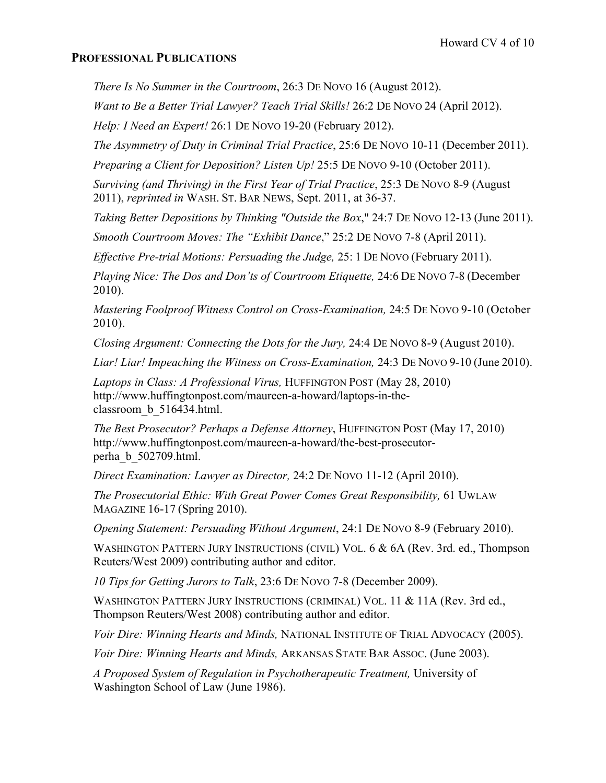## **PROFESSIONAL PUBLICATIONS**

*There Is No Summer in the Courtroom*, 26:3 DE NOVO 16 (August 2012).

*Want to Be a Better Trial Lawyer? Teach Trial Skills!* 26:2 DE NOVO 24 (April 2012).

*Help: I Need an Expert!* 26:1 DE NOVO 19-20 (February 2012).

*The Asymmetry of Duty in Criminal Trial Practice*, 25:6 DE NOVO 10-11 (December 2011).

*Preparing a Client for Deposition? Listen Up!* 25:5 DE NOVO 9-10 (October 2011).

*Surviving (and Thriving) in the First Year of Trial Practice*, 25:3 DE NOVO 8-9 (August 2011), *reprinted in* WASH. ST. BAR NEWS, Sept. 2011, at 36-37.

*Taking Better Depositions by Thinking "Outside the Box*," 24:7 DE NOVO 12-13 (June 2011).

*Smooth Courtroom Moves: The "Exhibit Dance*," 25:2 DE NOVO 7-8 (April 2011).

*Effective Pre-trial Motions: Persuading the Judge,* 25: 1 DE NOVO (February 2011).

*Playing Nice: The Dos and Don'ts of Courtroom Etiquette,* 24:6 DE NOVO 7-8 (December 2010).

*Mastering Foolproof Witness Control on Cross-Examination,* 24:5 DE NOVO 9-10 (October 2010).

*Closing Argument: Connecting the Dots for the Jury,* 24:4 DE NOVO 8-9 (August 2010).

*Liar! Liar! Impeaching the Witness on Cross-Examination,* 24:3 DE NOVO 9-10 (June 2010).

*Laptops in Class: A Professional Virus,* HUFFINGTON POST (May 28, 2010) http://www.huffingtonpost.com/maureen-a-howard/laptops-in-theclassroom\_b\_516434.html.

*The Best Prosecutor? Perhaps a Defense Attorney*, HUFFINGTON POST (May 17, 2010) http://www.huffingtonpost.com/maureen-a-howard/the-best-prosecutorperha\_b\_502709.html.

*Direct Examination: Lawyer as Director,* 24:2 DE NOVO 11-12 (April 2010).

*The Prosecutorial Ethic: With Great Power Comes Great Responsibility,* 61 UWLAW MAGAZINE 16-17 (Spring 2010).

*Opening Statement: Persuading Without Argument*, 24:1 DE NOVO 8-9 (February 2010).

WASHINGTON PATTERN JURY INSTRUCTIONS (CIVIL) VOL. 6 & 6A (Rev. 3rd. ed., Thompson Reuters/West 2009) contributing author and editor.

*10 Tips for Getting Jurors to Talk*, 23:6 DE NOVO 7-8 (December 2009).

WASHINGTON PATTERN JURY INSTRUCTIONS (CRIMINAL) VOL. 11 & 11A (Rev. 3rd ed., Thompson Reuters/West 2008) contributing author and editor.

*Voir Dire: Winning Hearts and Minds,* NATIONAL INSTITUTE OF TRIAL ADVOCACY (2005).

*Voir Dire: Winning Hearts and Minds,* ARKANSAS STATE BAR ASSOC. (June 2003).

*A Proposed System of Regulation in Psychotherapeutic Treatment,* University of Washington School of Law (June 1986).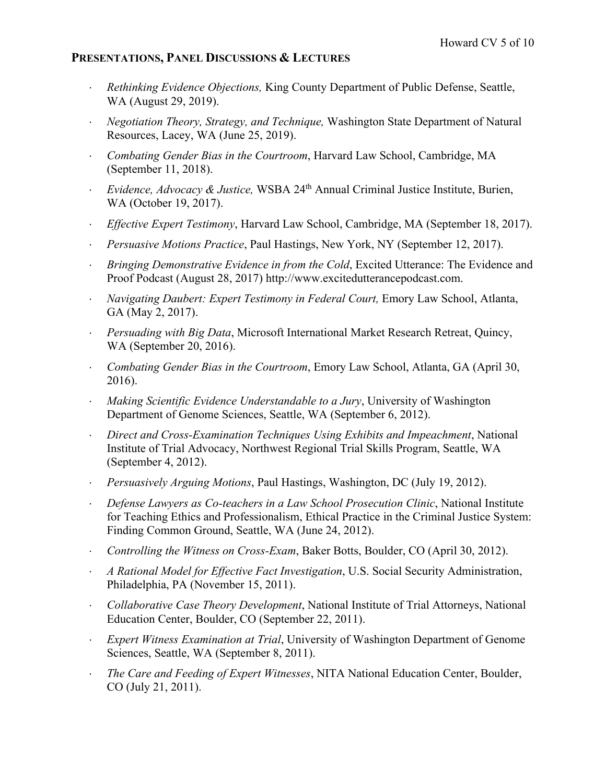## **PRESENTATIONS, PANEL DISCUSSIONS & LECTURES**

- ⋅ *Rethinking Evidence Objections,* King County Department of Public Defense, Seattle, WA (August 29, 2019).
- ⋅ *Negotiation Theory, Strategy, and Technique,* Washington State Department of Natural Resources, Lacey, WA (June 25, 2019).
- ⋅ *Combating Gender Bias in the Courtroom*, Harvard Law School, Cambridge, MA (September 11, 2018).
- ⋅ *Evidence, Advocacy & Justice,* WSBA 24th Annual Criminal Justice Institute, Burien, WA (October 19, 2017).
- ⋅ *Effective Expert Testimony*, Harvard Law School, Cambridge, MA (September 18, 2017).
- ⋅ *Persuasive Motions Practice*, Paul Hastings, New York, NY (September 12, 2017).
- *Bringing Demonstrative Evidence in from the Cold***, Excited Utterance: The Evidence and** Proof Podcast (August 28, 2017) http://www.excitedutterancepodcast.com.
- ⋅ *Navigating Daubert: Expert Testimony in Federal Court,* Emory Law School, Atlanta, GA (May 2, 2017).
- *Persuading with Big Data*, Microsoft International Market Research Retreat, Quincy, WA (September 20, 2016).
- ⋅ *Combating Gender Bias in the Courtroom*, Emory Law School, Atlanta, GA (April 30, 2016).
- ⋅ *Making Scientific Evidence Understandable to a Jury*, University of Washington Department of Genome Sciences, Seattle, WA (September 6, 2012).
- ⋅ *Direct and Cross-Examination Techniques Using Exhibits and Impeachment*, National Institute of Trial Advocacy, Northwest Regional Trial Skills Program, Seattle, WA (September 4, 2012).
- ⋅ *Persuasively Arguing Motions*, Paul Hastings, Washington, DC (July 19, 2012).
- ⋅ *Defense Lawyers as Co-teachers in a Law School Prosecution Clinic*, National Institute for Teaching Ethics and Professionalism, Ethical Practice in the Criminal Justice System: Finding Common Ground, Seattle, WA (June 24, 2012).
- ⋅ *Controlling the Witness on Cross-Exam*, Baker Botts, Boulder, CO (April 30, 2012).
- ⋅ *A Rational Model for Effective Fact Investigation*, U.S. Social Security Administration, Philadelphia, PA (November 15, 2011).
- ⋅ *Collaborative Case Theory Development*, National Institute of Trial Attorneys, National Education Center, Boulder, CO (September 22, 2011).
- **Expert Witness Examination at Trial, University of Washington Department of Genome** Sciences, Seattle, WA (September 8, 2011).
- ⋅ *The Care and Feeding of Expert Witnesses*, NITA National Education Center, Boulder, CO (July 21, 2011).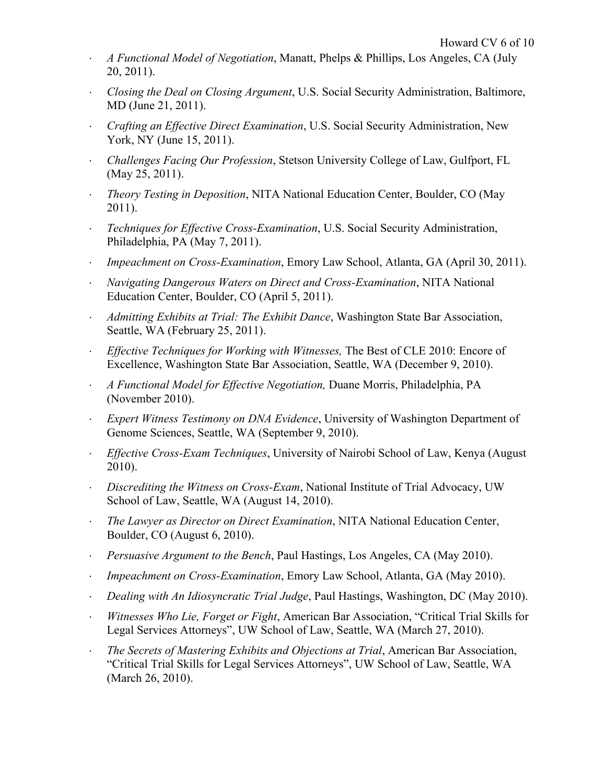- ⋅ *A Functional Model of Negotiation*, Manatt, Phelps & Phillips, Los Angeles, CA (July 20, 2011).
- ⋅ *Closing the Deal on Closing Argument*, U.S. Social Security Administration, Baltimore, MD (June 21, 2011).
- ⋅ *Crafting an Effective Direct Examination*, U.S. Social Security Administration, New York, NY (June 15, 2011).
- ⋅ *Challenges Facing Our Profession*, Stetson University College of Law, Gulfport, FL (May 25, 2011).
- ⋅ *Theory Testing in Deposition*, NITA National Education Center, Boulder, CO (May 2011).
- ⋅ *Techniques for Effective Cross-Examination*, U.S. Social Security Administration, Philadelphia, PA (May 7, 2011).
- ⋅ *Impeachment on Cross-Examination*, Emory Law School, Atlanta, GA (April 30, 2011).
- ⋅ *Navigating Dangerous Waters on Direct and Cross-Examination*, NITA National Education Center, Boulder, CO (April 5, 2011).
- *Admitting Exhibits at Trial: The Exhibit Dance*, Washington State Bar Association, Seattle, WA (February 25, 2011).
- ⋅ *Effective Techniques for Working with Witnesses,* The Best of CLE 2010: Encore of Excellence, Washington State Bar Association, Seattle, WA (December 9, 2010).
- ⋅ *A Functional Model for Effective Negotiation,* Duane Morris, Philadelphia, PA (November 2010).
- **Expert Witness Testimony on DNA Evidence, University of Washington Department of** Genome Sciences, Seattle, WA (September 9, 2010).
- ⋅ *Effective Cross-Exam Techniques*, University of Nairobi School of Law, Kenya (August 2010).
- ⋅ *Discrediting the Witness on Cross-Exam*, National Institute of Trial Advocacy, UW School of Law, Seattle, WA (August 14, 2010).
- ⋅ *The Lawyer as Director on Direct Examination*, NITA National Education Center, Boulder, CO (August 6, 2010).
- ⋅ *Persuasive Argument to the Bench*, Paul Hastings, Los Angeles, CA (May 2010).
- ⋅ *Impeachment on Cross-Examination*, Emory Law School, Atlanta, GA (May 2010).
- ⋅ *Dealing with An Idiosyncratic Trial Judge*, Paul Hastings, Washington, DC (May 2010).
- ⋅ *Witnesses Who Lie, Forget or Fight*, American Bar Association, "Critical Trial Skills for Legal Services Attorneys", UW School of Law, Seattle, WA (March 27, 2010).
- ⋅ *The Secrets of Mastering Exhibits and Objections at Trial*, American Bar Association, "Critical Trial Skills for Legal Services Attorneys", UW School of Law, Seattle, WA (March 26, 2010).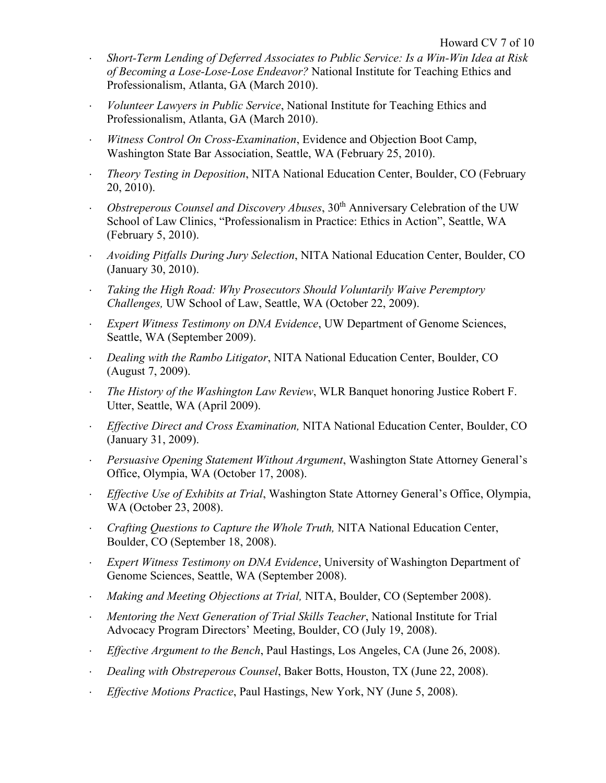- ⋅ *Short-Term Lending of Deferred Associates to Public Service: Is a Win-Win Idea at Risk of Becoming a Lose-Lose-Lose Endeavor?* National Institute for Teaching Ethics and Professionalism, Atlanta, GA (March 2010).
- ⋅ *Volunteer Lawyers in Public Service*, National Institute for Teaching Ethics and Professionalism, Atlanta, GA (March 2010).
- ⋅ *Witness Control On Cross-Examination*, Evidence and Objection Boot Camp, Washington State Bar Association, Seattle, WA (February 25, 2010).
- ⋅ *Theory Testing in Deposition*, NITA National Education Center, Boulder, CO (February 20, 2010).
- ⋅ *Obstreperous Counsel and Discovery Abuses*, 30th Anniversary Celebration of the UW School of Law Clinics, "Professionalism in Practice: Ethics in Action", Seattle, WA (February 5, 2010).
- ⋅ *Avoiding Pitfalls During Jury Selection*, NITA National Education Center, Boulder, CO (January 30, 2010).
- ⋅ *Taking the High Road: Why Prosecutors Should Voluntarily Waive Peremptory Challenges,* UW School of Law, Seattle, WA (October 22, 2009).
- *Expert Witness Testimony on DNA Evidence*, UW Department of Genome Sciences, Seattle, WA (September 2009).
- ⋅ *Dealing with the Rambo Litigator*, NITA National Education Center, Boulder, CO (August 7, 2009).
- ⋅ *The History of the Washington Law Review*, WLR Banquet honoring Justice Robert F. Utter, Seattle, WA (April 2009).
- ⋅ *Effective Direct and Cross Examination,* NITA National Education Center, Boulder, CO (January 31, 2009).
- ⋅ *Persuasive Opening Statement Without Argument*, Washington State Attorney General's Office, Olympia, WA (October 17, 2008).
- ⋅ *Effective Use of Exhibits at Trial*, Washington State Attorney General's Office, Olympia, WA (October 23, 2008).
- ⋅ *Crafting Questions to Capture the Whole Truth,* NITA National Education Center, Boulder, CO (September 18, 2008).
- *Expert Witness Testimony on DNA Evidence*, University of Washington Department of Genome Sciences, Seattle, WA (September 2008).
- ⋅ *Making and Meeting Objections at Trial,* NITA, Boulder, CO (September 2008).
- ⋅ *Mentoring the Next Generation of Trial Skills Teacher*, National Institute for Trial Advocacy Program Directors' Meeting, Boulder, CO (July 19, 2008).
- ⋅ *Effective Argument to the Bench*, Paul Hastings, Los Angeles, CA (June 26, 2008).
- ⋅ *Dealing with Obstreperous Counsel*, Baker Botts, Houston, TX (June 22, 2008).
- ⋅ *Effective Motions Practice*, Paul Hastings, New York, NY (June 5, 2008).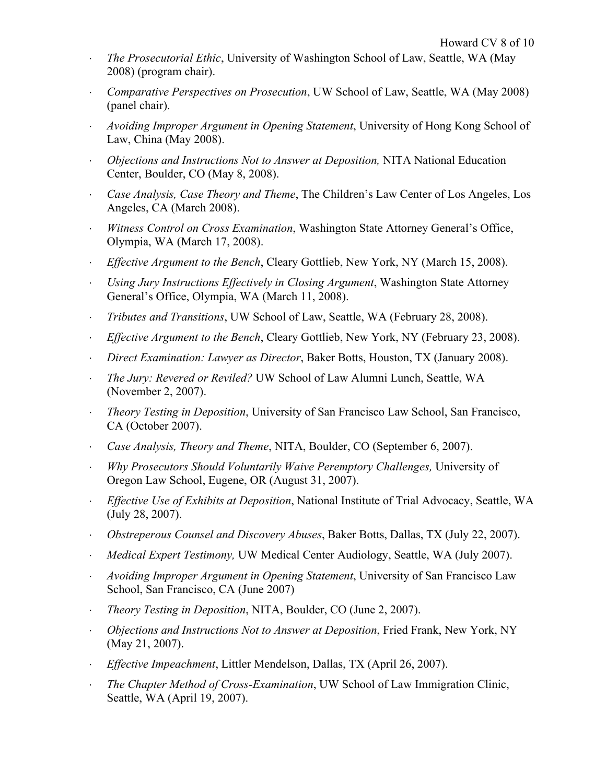- ⋅ *The Prosecutorial Ethic*, University of Washington School of Law, Seattle, WA (May 2008) (program chair).
- ⋅ *Comparative Perspectives on Prosecution*, UW School of Law, Seattle, WA (May 2008) (panel chair).
- ⋅ *Avoiding Improper Argument in Opening Statement*, University of Hong Kong School of Law, China (May 2008).
- ⋅ *Objections and Instructions Not to Answer at Deposition,* NITA National Education Center, Boulder, CO (May 8, 2008).
- ⋅ *Case Analysis, Case Theory and Theme*, The Children's Law Center of Los Angeles, Los Angeles, CA (March 2008).
- ⋅ *Witness Control on Cross Examination*, Washington State Attorney General's Office, Olympia, WA (March 17, 2008).
- ⋅ *Effective Argument to the Bench*, Cleary Gottlieb, New York, NY (March 15, 2008).
- ⋅ *Using Jury Instructions Effectively in Closing Argument*, Washington State Attorney General's Office, Olympia, WA (March 11, 2008).
- ⋅ *Tributes and Transitions*, UW School of Law, Seattle, WA (February 28, 2008).
- ⋅ *Effective Argument to the Bench*, Cleary Gottlieb, New York, NY (February 23, 2008).
- ⋅ *Direct Examination: Lawyer as Director*, Baker Botts, Houston, TX (January 2008).
- ⋅ *The Jury: Revered or Reviled?* UW School of Law Alumni Lunch, Seattle, WA (November 2, 2007).
- ⋅ *Theory Testing in Deposition*, University of San Francisco Law School, San Francisco, CA (October 2007).
- ⋅ *Case Analysis, Theory and Theme*, NITA, Boulder, CO (September 6, 2007).
- ⋅ *Why Prosecutors Should Voluntarily Waive Peremptory Challenges,* University of Oregon Law School, Eugene, OR (August 31, 2007).
- ⋅ *Effective Use of Exhibits at Deposition*, National Institute of Trial Advocacy, Seattle, WA (July 28, 2007).
- ⋅ *Obstreperous Counsel and Discovery Abuses*, Baker Botts, Dallas, TX (July 22, 2007).
- ⋅ *Medical Expert Testimony,* UW Medical Center Audiology, Seattle, WA (July 2007).
- ⋅ *Avoiding Improper Argument in Opening Statement*, University of San Francisco Law School, San Francisco, CA (June 2007)
- ⋅ *Theory Testing in Deposition*, NITA, Boulder, CO (June 2, 2007).
- ⋅ *Objections and Instructions Not to Answer at Deposition*, Fried Frank, New York, NY (May 21, 2007).
- ⋅ *Effective Impeachment*, Littler Mendelson, Dallas, TX (April 26, 2007).
- ⋅ *The Chapter Method of Cross-Examination*, UW School of Law Immigration Clinic, Seattle, WA (April 19, 2007).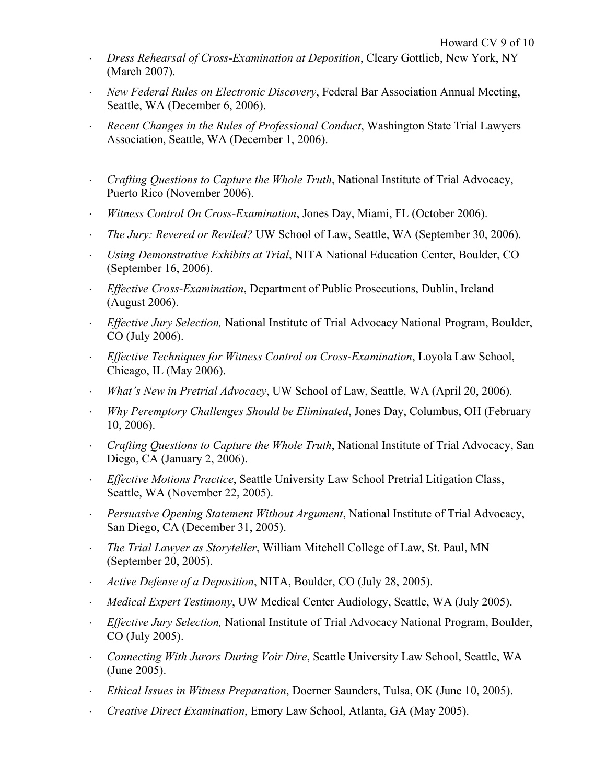- ⋅ *Dress Rehearsal of Cross-Examination at Deposition*, Cleary Gottlieb, New York, NY (March 2007).
- ⋅ *New Federal Rules on Electronic Discovery*, Federal Bar Association Annual Meeting, Seattle, WA (December 6, 2006).
- *Recent Changes in the Rules of Professional Conduct*, Washington State Trial Lawyers Association, Seattle, WA (December 1, 2006).
- ⋅ *Crafting Questions to Capture the Whole Truth*, National Institute of Trial Advocacy, Puerto Rico (November 2006).
- ⋅ *Witness Control On Cross-Examination*, Jones Day, Miami, FL (October 2006).
- ⋅ *The Jury: Revered or Reviled?* UW School of Law, Seattle, WA (September 30, 2006).
- ⋅ *Using Demonstrative Exhibits at Trial*, NITA National Education Center, Boulder, CO (September 16, 2006).
- **Effective Cross-Examination, Department of Public Prosecutions, Dublin, Ireland** (August 2006).
- ⋅ *Effective Jury Selection,* National Institute of Trial Advocacy National Program, Boulder, CO (July 2006).
- ⋅ *Effective Techniques for Witness Control on Cross-Examination*, Loyola Law School, Chicago, IL (May 2006).
- ⋅ *What's New in Pretrial Advocacy*, UW School of Law, Seattle, WA (April 20, 2006).
- ⋅ *Why Peremptory Challenges Should be Eliminated*, Jones Day, Columbus, OH (February 10, 2006).
- ⋅ *Crafting Questions to Capture the Whole Truth*, National Institute of Trial Advocacy, San Diego, CA (January 2, 2006).
- ⋅ *Effective Motions Practice*, Seattle University Law School Pretrial Litigation Class, Seattle, WA (November 22, 2005).
- ⋅ *Persuasive Opening Statement Without Argument*, National Institute of Trial Advocacy, San Diego, CA (December 31, 2005).
- ⋅ *The Trial Lawyer as Storyteller*, William Mitchell College of Law, St. Paul, MN (September 20, 2005).
- ⋅ *Active Defense of a Deposition*, NITA, Boulder, CO (July 28, 2005).
- ⋅ *Medical Expert Testimony*, UW Medical Center Audiology, Seattle, WA (July 2005).
- ⋅ *Effective Jury Selection,* National Institute of Trial Advocacy National Program, Boulder, CO (July 2005).
- ⋅ *Connecting With Jurors During Voir Dire*, Seattle University Law School, Seattle, WA (June 2005).
- ⋅ *Ethical Issues in Witness Preparation*, Doerner Saunders, Tulsa, OK (June 10, 2005).
- ⋅ *Creative Direct Examination*, Emory Law School, Atlanta, GA (May 2005).